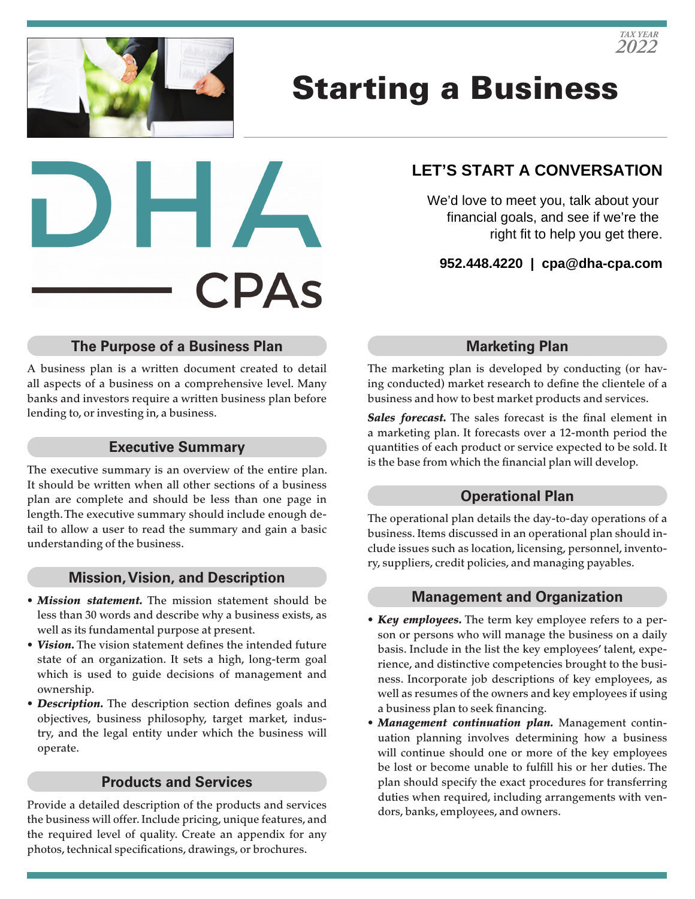

# Starting a Business



# **LET'S START A CONVERSATION**

We'd love to meet you, talk about your financial goals, and see if we're the right fit to help you get there.

**952.448.4220 | cpa@dha-cpa.com**

# **The Purpose of a Business Plan**

A business plan is a written document created to detail all aspects of a business on a comprehensive level. Many banks and investors require a written business plan before lending to, or investing in, a business.

# **Executive Summary**

The executive summary is an overview of the entire plan. It should be written when all other sections of a business plan are complete and should be less than one page in length. The executive summary should include enough detail to allow a user to read the summary and gain a basic understanding of the business.

#### **Mission, Vision, and Description**

- *Mission statement.* The mission statement should be less than 30 words and describe why a business exists, as well as its fundamental purpose at present.
- *Vision.* The vision statement defines the intended future state of an organization. It sets a high, long-term goal which is used to guide decisions of management and ownership.
- *Description.* The description section defines goals and objectives, business philosophy, target market, industry, and the legal entity under which the business will operate.

# **Products and Services**

Provide a detailed description of the products and services the business will offer. Include pricing, unique features, and the required level of quality. Create an appendix for any photos, technical specifications, drawings, or brochures.

# **Marketing Plan**

The marketing plan is developed by conducting (or having conducted) market research to define the clientele of a business and how to best market products and services.

*Sales forecast.* The sales forecast is the final element in a marketing plan. It forecasts over a 12-month period the quantities of each product or service expected to be sold. It is the base from which the financial plan will develop.

# **Operational Plan**

The operational plan details the day-to-day operations of a business. Items discussed in an operational plan should include issues such as location, licensing, personnel, inventory, suppliers, credit policies, and managing payables.

#### **Management and Organization**

- *Key employees.* The term key employee refers to a person or persons who will manage the business on a daily basis. Include in the list the key employees' talent, experience, and distinctive competencies brought to the business. Incorporate job descriptions of key employees, as well as resumes of the owners and key employees if using a business plan to seek financing.
- *Management continuation plan.* Management continuation planning involves determining how a business will continue should one or more of the key employees be lost or become unable to fulfill his or her duties. The plan should specify the exact procedures for transferring duties when required, including arrangements with vendors, banks, employees, and owners.